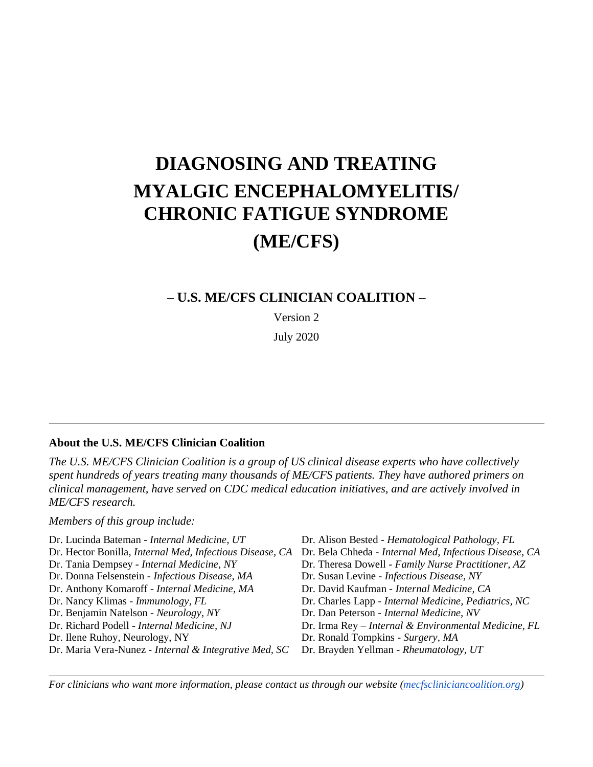# **DIAGNOSING AND TREATING MYALGIC ENCEPHALOMYELITIS/ CHRONIC FATIGUE SYNDROME (ME/CFS)**

# **– U.S. ME/CFS CLINICIAN COALITION –**

Version 2

July 2020

#### **About the U.S. ME/CFS Clinician Coalition**

*The U.S. ME/CFS Clinician Coalition is a group of US clinical disease experts who have collectively spent hundreds of years treating many thousands of ME/CFS patients. They have authored primers on clinical management, have served on CDC medical education initiatives, and are actively involved in ME/CFS research.* 

*Members of this group include:*

Dr. Lucinda Bateman - *Internal Medicine, UT* Dr. Alison Bested - *Hematological Pathology, FL* Dr. Hector Bonilla, *Internal Med, Infectious Disease, CA* Dr. Bela Chheda - *Internal Med, Infectious Disease, CA* Dr. Tania Dempsey - *Internal Medicine, NY* Dr. Theresa Dowell - *Family Nurse Practitioner, AZ* Dr. Donna Felsenstein - *Infectious Disease, MA* Dr. Susan Levine - *Infectious Disease, NY* Dr. Anthony Komaroff - *Internal Medicine, MA* Dr. David Kaufman - *Internal Medicine, CA* Dr. Nancy Klimas - *Immunology, FL* Dr. Charles Lapp - *Internal Medicine, Pediatrics, NC* Dr. Benjamin Natelson - *Neurology, NY* Dr. Dan Peterson - *Internal Medicine, NV* Dr. Richard Podell - *Internal Medicine, NJ* Dr. Irma Rey – *Internal & Environmental Medicine, FL* Dr. Ilene Ruhoy, Neurology, NY Dr. Ronald Tompkins - *Surgery, MA* Dr. Maria Vera-Nunez - *Internal & Integrative Med, SC* Dr. Brayden Yellman - *Rheumatology, UT*

*For clinicians who want more information, please contact us through our website [\(mecfscliniciancoalition.org\)](http://mecfscliniciancoalition.org/)*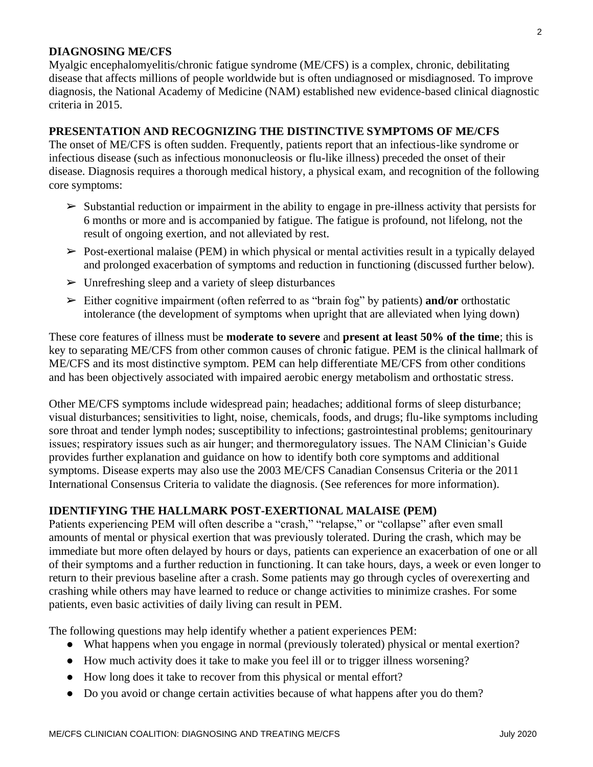## **DIAGNOSING ME/CFS**

Myalgic encephalomyelitis/chronic fatigue syndrome (ME/CFS) is a complex, chronic, debilitating disease that affects millions of people worldwide but is often undiagnosed or misdiagnosed. To improve diagnosis, the National Academy of Medicine (NAM) established new evidence-based clinical diagnostic criteria in 2015.

## **PRESENTATION AND RECOGNIZING THE DISTINCTIVE SYMPTOMS OF ME/CFS**

The onset of ME/CFS is often sudden. Frequently, patients report that an infectious-like syndrome or infectious disease (such as infectious mononucleosis or flu-like illness) preceded the onset of their disease. Diagnosis requires a thorough medical history, a physical exam, and recognition of the following core symptoms:

- $\triangleright$  Substantial reduction or impairment in the ability to engage in pre-illness activity that persists for 6 months or more and is accompanied by fatigue. The fatigue is profound, not lifelong, not the result of ongoing exertion, and not alleviated by rest.
- $\triangleright$  Post-exertional malaise (PEM) in which physical or mental activities result in a typically delayed and prolonged exacerbation of symptoms and reduction in functioning (discussed further below).
- $\triangleright$  Unrefreshing sleep and a variety of sleep disturbances
- ➢ Either cognitive impairment (often referred to as "brain fog" by patients) **and/or** orthostatic intolerance (the development of symptoms when upright that are alleviated when lying down)

These core features of illness must be **moderate to severe** and **present at least 50% of the time**; this is key to separating ME/CFS from other common causes of chronic fatigue. PEM is the clinical hallmark of ME/CFS and its most distinctive symptom. PEM can help differentiate ME/CFS from other conditions and has been objectively associated with impaired aerobic energy metabolism and orthostatic stress.

Other ME/CFS symptoms include widespread pain; headaches; additional forms of sleep disturbance; visual disturbances; sensitivities to light, noise, chemicals, foods, and drugs; flu-like symptoms including sore throat and tender lymph nodes; susceptibility to infections; gastrointestinal problems; genitourinary issues; respiratory issues such as air hunger; and thermoregulatory issues. The NAM Clinician's Guide provides further explanation and guidance on how to identify both core symptoms and additional symptoms. Disease experts may also use the 2003 ME/CFS Canadian Consensus Criteria or the 2011 International Consensus Criteria to validate the diagnosis. (See references for more information).

## **IDENTIFYING THE HALLMARK POST-EXERTIONAL MALAISE (PEM)**

Patients experiencing PEM will often describe a "crash," "relapse," or "collapse" after even small amounts of mental or physical exertion that was previously tolerated. During the crash, which may be immediate but more often delayed by hours or days, patients can experience an exacerbation of one or all of their symptoms and a further reduction in functioning. It can take hours, days, a week or even longer to return to their previous baseline after a crash. Some patients may go through cycles of overexerting and crashing while others may have learned to reduce or change activities to minimize crashes. For some patients, even basic activities of daily living can result in PEM.

The following questions may help identify whether a patient experiences PEM:

- What happens when you engage in normal (previously tolerated) physical or mental exertion?
- How much activity does it take to make you feel ill or to trigger illness worsening?
- How long does it take to recover from this physical or mental effort?
- Do you avoid or change certain activities because of what happens after you do them?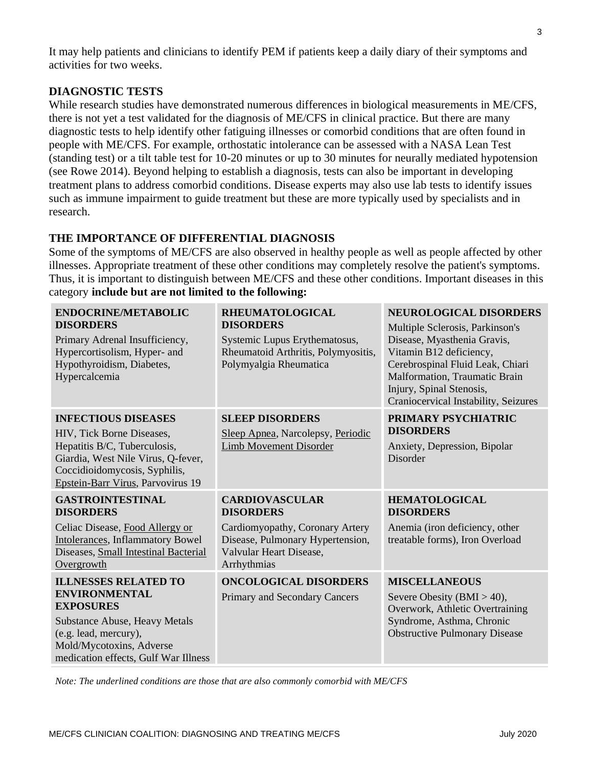It may help patients and clinicians to identify PEM if patients keep a daily diary of their symptoms and activities for two weeks.

## **DIAGNOSTIC TESTS**

While research studies have demonstrated numerous differences in biological measurements in ME/CFS, there is not yet a test validated for the diagnosis of ME/CFS in clinical practice. But there are many diagnostic tests to help identify other fatiguing illnesses or comorbid conditions that are often found in people with ME/CFS. For example, orthostatic intolerance can be assessed with a NASA Lean Test (standing test) or a tilt table test for 10-20 minutes or up to 30 minutes for neurally mediated hypotension (see Rowe 2014). Beyond helping to establish a diagnosis, tests can also be important in developing treatment plans to address comorbid conditions. Disease experts may also use lab tests to identify issues such as immune impairment to guide treatment but these are more typically used by specialists and in research.

# **THE IMPORTANCE OF DIFFERENTIAL DIAGNOSIS**

Some of the symptoms of ME/CFS are also observed in healthy people as well as people affected by other illnesses. Appropriate treatment of these other conditions may completely resolve the patient's symptoms. Thus, it is important to distinguish between ME/CFS and these other conditions. Important diseases in this category **include but are not limited to the following:**

| ENDOCRINE/METABOLIC<br><b>DISORDERS</b><br>Primary Adrenal Insufficiency,<br>Hypercortisolism, Hyper- and<br>Hypothyroidism, Diabetes,<br>Hypercalcemia                                               | <b>RHEUMATOLOGICAL</b><br><b>DISORDERS</b><br>Systemic Lupus Erythematosus,<br>Rheumatoid Arthritis, Polymyositis,<br>Polymyalgia Rheumatica               | <b>NEUROLOGICAL DISORDERS</b><br>Multiple Sclerosis, Parkinson's<br>Disease, Myasthenia Gravis,<br>Vitamin B12 deficiency,<br>Cerebrospinal Fluid Leak, Chiari<br>Malformation, Traumatic Brain<br>Injury, Spinal Stenosis,<br>Craniocervical Instability, Seizures |
|-------------------------------------------------------------------------------------------------------------------------------------------------------------------------------------------------------|------------------------------------------------------------------------------------------------------------------------------------------------------------|---------------------------------------------------------------------------------------------------------------------------------------------------------------------------------------------------------------------------------------------------------------------|
| <b>INFECTIOUS DISEASES</b><br>HIV, Tick Borne Diseases,<br>Hepatitis B/C, Tuberculosis,<br>Giardia, West Nile Virus, Q-fever,<br>Coccidioidomycosis, Syphilis,<br>Epstein-Barr Virus, Parvovirus 19   | <b>SLEEP DISORDERS</b><br>Sleep Apnea, Narcolepsy, Periodic<br><b>Limb Movement Disorder</b>                                                               | PRIMARY PSYCHIATRIC<br><b>DISORDERS</b><br>Anxiety, Depression, Bipolar<br><b>Disorder</b>                                                                                                                                                                          |
| <b>GASTROINTESTINAL</b><br><b>DISORDERS</b><br>Celiac Disease, Food Allergy or<br><b>Intolerances</b> , Inflammatory Bowel<br>Diseases, Small Intestinal Bacterial<br>Overgrowth                      | <b>CARDIOVASCULAR</b><br><b>DISORDERS</b><br>Cardiomyopathy, Coronary Artery<br>Disease, Pulmonary Hypertension,<br>Valvular Heart Disease,<br>Arrhythmias | <b>HEMATOLOGICAL</b><br><b>DISORDERS</b><br>Anemia (iron deficiency, other<br>treatable forms), Iron Overload                                                                                                                                                       |
| <b>ILLNESSES RELATED TO</b><br><b>ENVIRONMENTAL</b><br><b>EXPOSURES</b><br>Substance Abuse, Heavy Metals<br>(e.g. lead, mercury),<br>Mold/Mycotoxins, Adverse<br>medication effects, Gulf War Illness | <b>ONCOLOGICAL DISORDERS</b><br>Primary and Secondary Cancers                                                                                              | <b>MISCELLANEOUS</b><br>Severe Obesity (BMI $> 40$ ),<br>Overwork, Athletic Overtraining<br>Syndrome, Asthma, Chronic<br><b>Obstructive Pulmonary Disease</b>                                                                                                       |

*Note: The underlined conditions are those that are also commonly comorbid with ME/CFS*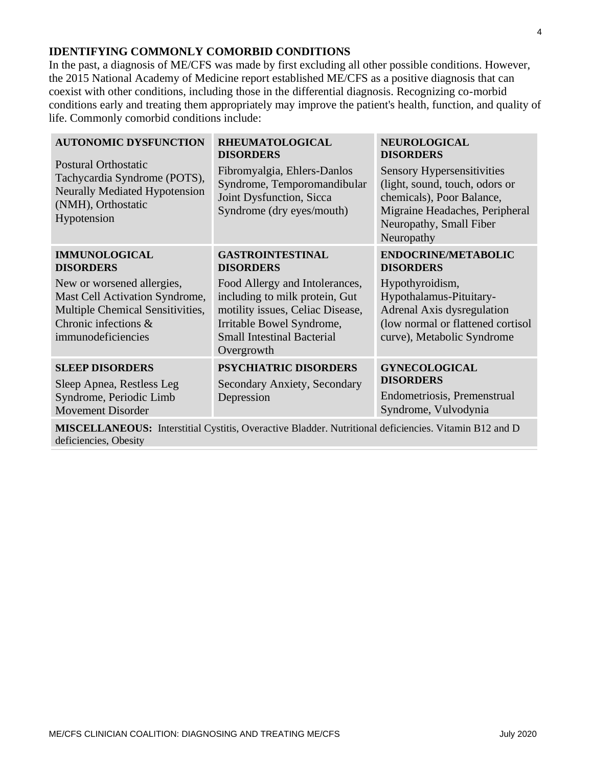## **IDENTIFYING COMMONLY COMORBID CONDITIONS**

In the past, a diagnosis of ME/CFS was made by first excluding all other possible conditions. However, the 2015 National Academy of Medicine report established ME/CFS as a positive diagnosis that can coexist with other conditions, including those in the differential diagnosis. Recognizing co-morbid conditions early and treating them appropriately may improve the patient's health, function, and quality of life. Commonly comorbid conditions include:

| <b>AUTONOMIC DYSFUNCTION</b><br><b>Postural Orthostatic</b><br>Tachycardia Syndrome (POTS),<br><b>Neurally Mediated Hypotension</b><br>(NMH), Orthostatic<br>Hypotension | <b>RHEUMATOLOGICAL</b><br><b>DISORDERS</b><br>Fibromyalgia, Ehlers-Danlos<br>Syndrome, Temporomandibular<br>Joint Dysfunction, Sicca<br>Syndrome (dry eyes/mouth)                    | <b>NEUROLOGICAL</b><br><b>DISORDERS</b><br><b>Sensory Hypersensitivities</b><br>(light, sound, touch, odors or<br>chemicals), Poor Balance,<br>Migraine Headaches, Peripheral<br>Neuropathy, Small Fiber<br>Neuropathy |
|--------------------------------------------------------------------------------------------------------------------------------------------------------------------------|--------------------------------------------------------------------------------------------------------------------------------------------------------------------------------------|------------------------------------------------------------------------------------------------------------------------------------------------------------------------------------------------------------------------|
| <b>IMMUNOLOGICAL</b><br><b>DISORDERS</b>                                                                                                                                 | <b>GASTROINTESTINAL</b><br><b>DISORDERS</b>                                                                                                                                          | <b>ENDOCRINE/METABOLIC</b><br><b>DISORDERS</b>                                                                                                                                                                         |
| New or worsened allergies,<br>Mast Cell Activation Syndrome,<br>Multiple Chemical Sensitivities,<br>Chronic infections &<br>immunodeficiencies                           | Food Allergy and Intolerances,<br>including to milk protein, Gut<br>motility issues, Celiac Disease,<br>Irritable Bowel Syndrome,<br><b>Small Intestinal Bacterial</b><br>Overgrowth | Hypothyroidism,<br>Hypothalamus-Pituitary-<br>Adrenal Axis dysregulation<br>(low normal or flattened cortisol<br>curve), Metabolic Syndrome                                                                            |
| <b>SLEEP DISORDERS</b><br>Sleep Apnea, Restless Leg<br>Syndrome, Periodic Limb<br><b>Movement Disorder</b>                                                               | <b>PSYCHIATRIC DISORDERS</b><br><b>Secondary Anxiety, Secondary</b><br>Depression                                                                                                    | <b>GYNECOLOGICAL</b><br><b>DISORDERS</b><br>Endometriosis, Premenstrual<br>Syndrome, Vulvodynia                                                                                                                        |

**MISCELLANEOUS:** Interstitial Cystitis, Overactive Bladder. Nutritional deficiencies. Vitamin B12 and D deficiencies, Obesity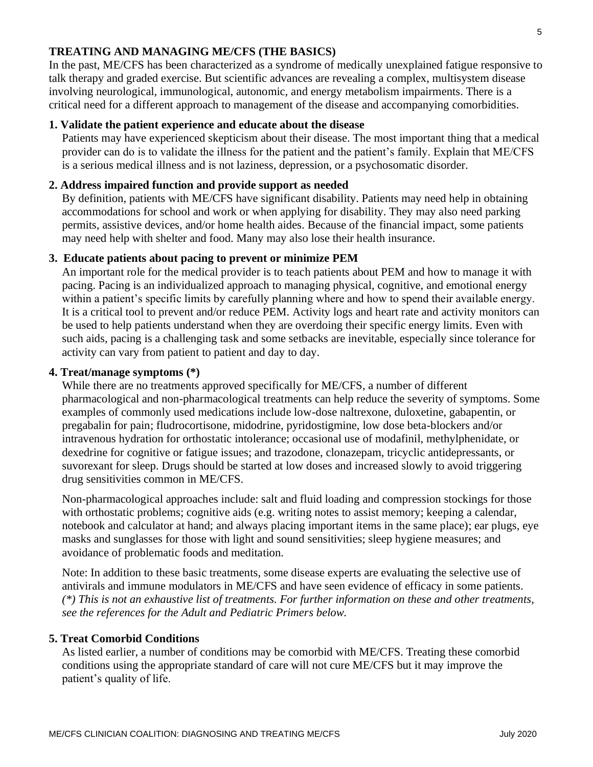## **TREATING AND MANAGING ME/CFS (THE BASICS)**

In the past, ME/CFS has been characterized as a syndrome of medically unexplained fatigue responsive to talk therapy and graded exercise. But scientific advances are revealing a complex, multisystem disease involving neurological, immunological, autonomic, and energy metabolism impairments. There is a critical need for a different approach to management of the disease and accompanying comorbidities.

## **1. Validate the patient experience and educate about the disease**

Patients may have experienced skepticism about their disease. The most important thing that a medical provider can do is to validate the illness for the patient and the patient's family. Explain that ME/CFS is a serious medical illness and is not laziness, depression, or a psychosomatic disorder.

#### **2. Address impaired function and provide support as needed**

By definition, patients with ME/CFS have significant disability. Patients may need help in obtaining accommodations for school and work or when applying for disability. They may also need parking permits, assistive devices, and/or home health aides. Because of the financial impact, some patients may need help with shelter and food. Many may also lose their health insurance.

#### **3. Educate patients about pacing to prevent or minimize PEM**

An important role for the medical provider is to teach patients about PEM and how to manage it with pacing. Pacing is an individualized approach to managing physical, cognitive, and emotional energy within a patient's specific limits by carefully planning where and how to spend their available energy. It is a critical tool to prevent and/or reduce PEM. Activity logs and heart rate and activity monitors can be used to help patients understand when they are overdoing their specific energy limits. Even with such aids, pacing is a challenging task and some setbacks are inevitable, especially since tolerance for activity can vary from patient to patient and day to day.

#### **4. Treat/manage symptoms (\*)**

While there are no treatments approved specifically for ME/CFS, a number of different pharmacological and non-pharmacological treatments can help reduce the severity of symptoms. Some examples of commonly used medications include low-dose naltrexone, duloxetine, gabapentin, or pregabalin for pain; fludrocortisone, midodrine, pyridostigmine, low dose beta-blockers and/or intravenous hydration for orthostatic intolerance; occasional use of modafinil, methylphenidate, or dexedrine for cognitive or fatigue issues; and trazodone, clonazepam, tricyclic antidepressants, or suvorexant for sleep. Drugs should be started at low doses and increased slowly to avoid triggering drug sensitivities common in ME/CFS.

Non-pharmacological approaches include: salt and fluid loading and compression stockings for those with orthostatic problems; cognitive aids (e.g. writing notes to assist memory; keeping a calendar, notebook and calculator at hand; and always placing important items in the same place); ear plugs, eye masks and sunglasses for those with light and sound sensitivities; sleep hygiene measures; and avoidance of problematic foods and meditation.

Note: In addition to these basic treatments, some disease experts are evaluating the selective use of antivirals and immune modulators in ME/CFS and have seen evidence of efficacy in some patients. *(\*) This is not an exhaustive list of treatments. For further information on these and other treatments, see the references for the Adult and Pediatric Primers below.* 

#### **5. Treat Comorbid Conditions**

As listed earlier, a number of conditions may be comorbid with ME/CFS. Treating these comorbid conditions using the appropriate standard of care will not cure ME/CFS but it may improve the patient's quality of life.